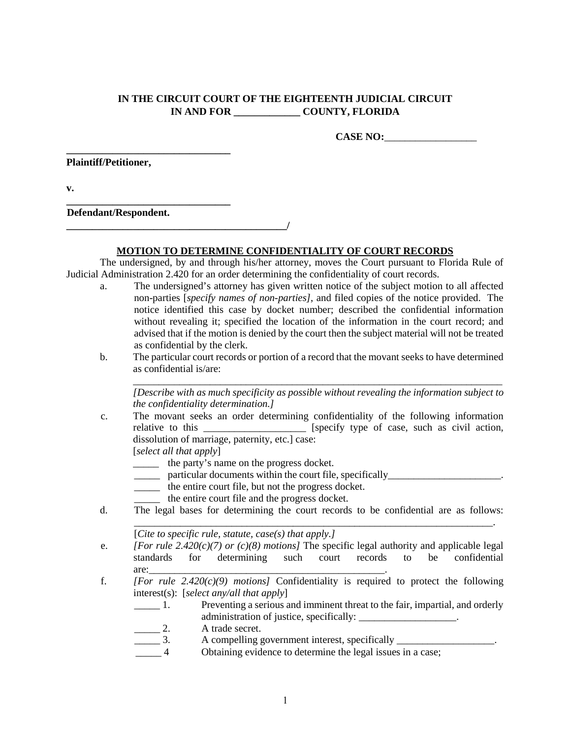## **IN THE CIRCUIT COURT OF THE EIGHTEENTH JUDICIAL CIRCUIT IN AND FOR \_\_\_\_\_\_\_\_\_\_\_\_\_ COUNTY, FLORIDA**

**CASE NO:**\_\_\_\_\_\_\_\_\_\_\_\_\_\_\_\_\_\_

**Plaintiff/Petitioner,** 

**\_\_\_\_\_\_\_\_\_\_\_\_\_\_\_\_\_\_\_\_\_\_\_\_\_\_\_\_\_\_\_\_** 

**v.** 

**\_\_\_\_\_\_\_\_\_\_\_\_\_\_\_\_\_\_\_\_\_\_\_\_\_\_\_\_\_\_\_\_ Defendant/Respondent.** 

## **MOTION TO DETERMINE CONFIDENTIALITY OF COURT RECORDS**

The undersigned, by and through his/her attorney, moves the Court pursuant to Florida Rule of Judicial Administration 2.420 for an order determining the confidentiality of court records.

- a. The undersigned's attorney has given written notice of the subject motion to all affected non-parties [*specify names of non-parties]*, and filed copies of the notice provided. The notice identified this case by docket number; described the confidential information without revealing it; specified the location of the information in the court record; and advised that if the motion is denied by the court then the subject material will not be treated as confidential by the clerk.
- b. The particular court records or portion of a record that the movant seeks to have determined as confidential is/are:

\_\_\_\_\_\_\_\_\_\_\_\_\_\_\_\_\_\_\_\_\_\_\_\_\_\_\_\_\_\_\_\_\_\_\_\_\_\_\_\_\_\_\_\_\_\_\_\_\_\_\_\_\_\_\_\_\_\_\_\_\_\_\_\_\_\_\_\_\_\_\_\_ *[Describe with as much specificity as possible without revealing the information subject to the confidentiality determination.]*

c. The movant seeks an order determining confidentiality of the following information relative to this \_\_\_\_\_\_\_\_\_\_\_\_\_\_\_\_\_\_\_ [specify type of case, such as civil action, dissolution of marriage, paternity, etc.] case:

[*select all that apply*]

\_\_\_\_\_ the party's name on the progress docket.

 $\overline{\phantom{a}}$ 

- particular documents within the court file, specifically \_\_\_\_\_\_\_\_\_\_\_\_\_\_\_\_\_\_\_\_\_\_\_
- \_\_\_\_\_ the entire court file, but not the progress docket.
- \_\_\_\_\_ the entire court file and the progress docket.
- d. The legal bases for determining the court records to be confidential are as follows: \_\_\_\_\_\_\_\_\_\_\_\_\_\_\_\_\_\_\_\_\_\_\_\_\_\_\_\_\_\_\_\_\_\_\_\_\_\_\_\_\_\_\_\_\_\_\_\_\_\_\_\_\_\_\_\_\_\_\_\_\_\_\_\_\_\_\_\_\_\_.

[*Cite to specific rule, statute, case(s) that apply.]*

- e. *[For rule 2.420(c)(7) or (c)(8) motions]* The specific legal authority and applicable legal standards for determining such court records to be confidential  $\text{are:}\_$
- f. *[For rule 2.420(c)(9) motions]* Confidentiality is required to protect the following interest(s): [*select any/all that apply*]
	- \_\_\_\_\_ 1. Preventing a serious and imminent threat to the fair, impartial, and orderly administration of justice, specifically:
	- 2. A trade secret.
	- 3. A compelling government interest, specifically
	- Obtaining evidence to determine the legal issues in a case;